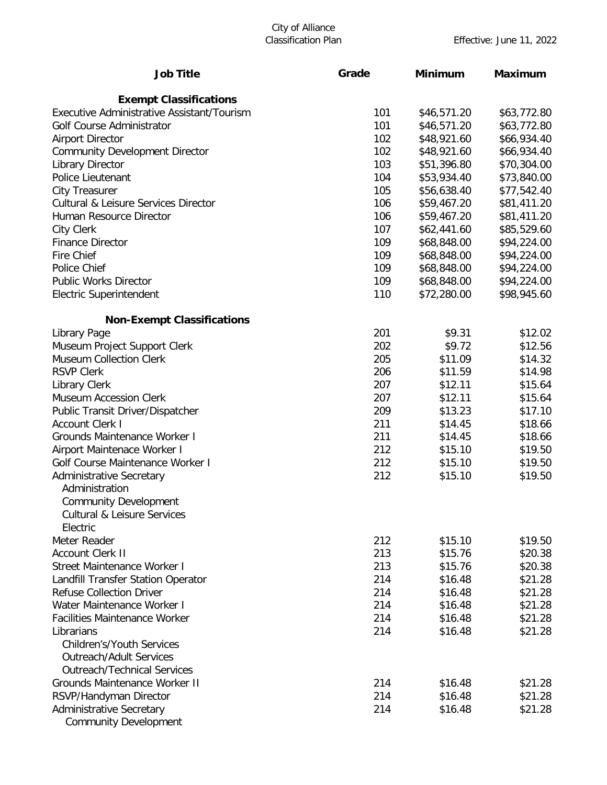# City of Alliance

| <b>Job Title</b>                                | Grade | <b>Minimum</b> | <b>Maximum</b> |  |
|-------------------------------------------------|-------|----------------|----------------|--|
| <b>Exempt Classifications</b>                   |       |                |                |  |
| Executive Administrative Assistant/Tourism      | 101   | \$46,571.20    | \$63,772.80    |  |
| Golf Course Administrator                       | 101   | \$46,571.20    | \$63,772.80    |  |
| <b>Airport Director</b>                         | 102   | \$48,921.60    | \$66,934.40    |  |
| <b>Community Development Director</b>           | 102   | \$48,921.60    | \$66,934.40    |  |
| <b>Library Director</b>                         | 103   | \$51,396.80    | \$70,304.00    |  |
| Police Lieutenant                               | 104   | \$53,934.40    | \$73,840.00    |  |
| <b>City Treasurer</b>                           | 105   | \$56,638.40    | \$77,542.40    |  |
| <b>Cultural &amp; Leisure Services Director</b> | 106   | \$59,467.20    | \$81,411.20    |  |
| Human Resource Director                         | 106   | \$59,467.20    | \$81,411.20    |  |
| City Clerk                                      | 107   | \$62,441.60    | \$85,529.60    |  |
| <b>Finance Director</b>                         | 109   | \$68,848.00    | \$94,224.00    |  |
| <b>Fire Chief</b>                               | 109   | \$68,848.00    | \$94,224.00    |  |
| <b>Police Chief</b>                             | 109   | \$68,848.00    | \$94,224.00    |  |
| <b>Public Works Director</b>                    | 109   | \$68,848.00    | \$94,224.00    |  |
| <b>Electric Superintendent</b>                  | 110   | \$72,280.00    | \$98,945.60    |  |
| <b>Non-Exempt Classifications</b>               |       |                |                |  |
| Library Page                                    | 201   | \$9.31         | \$12.02        |  |
| Museum Project Support Clerk                    | 202   | \$9.72         | \$12.56        |  |
| <b>Museum Collection Clerk</b>                  | 205   | \$11.09        | \$14.32        |  |
| <b>RSVP Clerk</b>                               | 206   | \$11.59        | \$14.98        |  |
| <b>Library Clerk</b>                            | 207   | \$12.11        | \$15.64        |  |
| <b>Museum Accession Clerk</b>                   | 207   | \$12.11        | \$15.64        |  |
| Public Transit Driver/Dispatcher                | 209   | \$13.23        | \$17.10        |  |
| <b>Account Clerk I</b>                          | 211   | \$14.45        | \$18.66        |  |
| <b>Grounds Maintenance Worker I</b>             | 211   | \$14.45        | \$18.66        |  |
| Airport Maintenace Worker I                     | 212   | \$15.10        | \$19.50        |  |
| <b>Golf Course Maintenance Worker I</b>         | 212   | \$15.10        | \$19.50        |  |
| <b>Administrative Secretary</b>                 | 212   | \$15.10        | \$19.50        |  |
| Administration                                  |       |                |                |  |
| <b>Community Development</b>                    |       |                |                |  |
| <b>Cultural &amp; Leisure Services</b>          |       |                |                |  |
| Electric                                        |       |                |                |  |
| Meter Reader                                    | 212   | \$15.10        | \$19.50        |  |
| <b>Account Clerk II</b>                         | 213   | \$15.76        | \$20.38        |  |
| Street Maintenance Worker I                     | 213   | \$15.76        | \$20.38        |  |
| Landfill Transfer Station Operator              | 214   | \$16.48        | \$21.28        |  |
| <b>Refuse Collection Driver</b>                 | 214   | \$16.48        | \$21.28        |  |
| Water Maintenance Worker I                      | 214   | \$16.48        | \$21.28        |  |
| <b>Facilities Maintenance Worker</b>            | 214   | \$16.48        | \$21.28        |  |
| Librarians                                      | 214   | \$16.48        | \$21.28        |  |
| <b>Children's/Youth Services</b>                |       |                |                |  |
| <b>Outreach/Adult Services</b>                  |       |                |                |  |
| <b>Outreach/Technical Services</b>              |       |                |                |  |
| <b>Grounds Maintenance Worker II</b>            | 214   | \$16.48        | \$21.28        |  |
| RSVP/Handyman Director                          | 214   | \$16.48        | \$21.28        |  |
| <b>Administrative Secretary</b>                 | 214   | \$16.48        | \$21.28        |  |
| <b>Community Development</b>                    |       |                |                |  |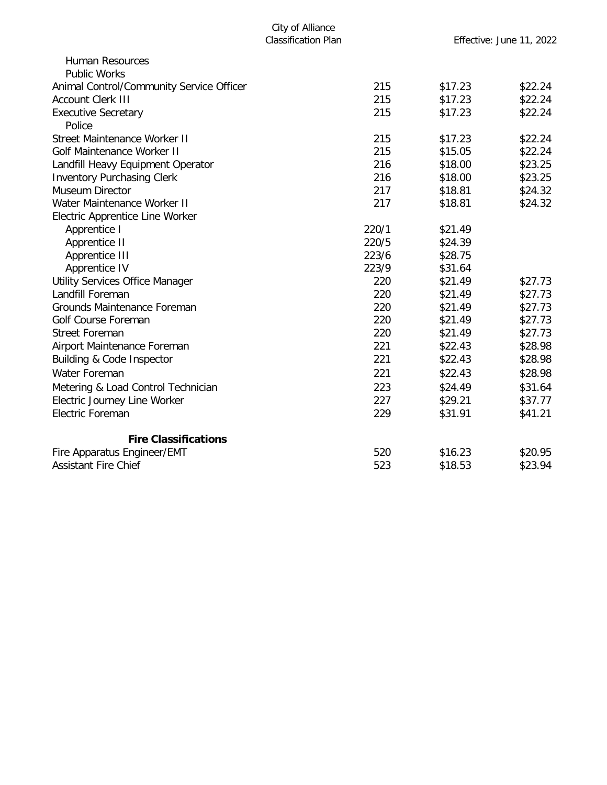| <b>Human Resources</b>                   |       |         |         |
|------------------------------------------|-------|---------|---------|
| <b>Public Works</b>                      |       |         |         |
| Animal Control/Community Service Officer | 215   | \$17.23 | \$22.24 |
| <b>Account Clerk III</b>                 | 215   | \$17.23 | \$22.24 |
| <b>Executive Secretary</b>               | 215   | \$17.23 | \$22.24 |
| Police                                   |       |         |         |
| <b>Street Maintenance Worker II</b>      | 215   | \$17.23 | \$22.24 |
| <b>Golf Maintenance Worker II</b>        | 215   | \$15.05 | \$22.24 |
| Landfill Heavy Equipment Operator        | 216   | \$18.00 | \$23.25 |
| <b>Inventory Purchasing Clerk</b>        | 216   | \$18.00 | \$23.25 |
| <b>Museum Director</b>                   | 217   | \$18.81 | \$24.32 |
| Water Maintenance Worker II              | 217   | \$18.81 | \$24.32 |
| Electric Apprentice Line Worker          |       |         |         |
| Apprentice I                             | 220/1 | \$21.49 |         |
| Apprentice II                            | 220/5 | \$24.39 |         |
| Apprentice III                           | 223/6 | \$28.75 |         |
| Apprentice IV                            | 223/9 | \$31.64 |         |
| Utility Services Office Manager          | 220   | \$21.49 | \$27.73 |
| Landfill Foreman                         | 220   | \$21.49 | \$27.73 |
| Grounds Maintenance Foreman              | 220   | \$21.49 | \$27.73 |
| <b>Golf Course Foreman</b>               | 220   | \$21.49 | \$27.73 |
| <b>Street Foreman</b>                    | 220   | \$21.49 | \$27.73 |
| Airport Maintenance Foreman              | 221   | \$22.43 | \$28.98 |
| Building & Code Inspector                | 221   | \$22.43 | \$28.98 |
| <b>Water Foreman</b>                     | 221   | \$22.43 | \$28.98 |
| Metering & Load Control Technician       | 223   | \$24.49 | \$31.64 |
| Electric Journey Line Worker             | 227   | \$29.21 | \$37.77 |
| <b>Electric Foreman</b>                  | 229   | \$31.91 | \$41.21 |
| <b>Fire Classifications</b>              |       |         |         |
| Fire Apparatus Engineer/EMT              | 520   | \$16.23 | \$20.95 |
| <b>Assistant Fire Chief</b>              | 523   | \$18.53 | \$23.94 |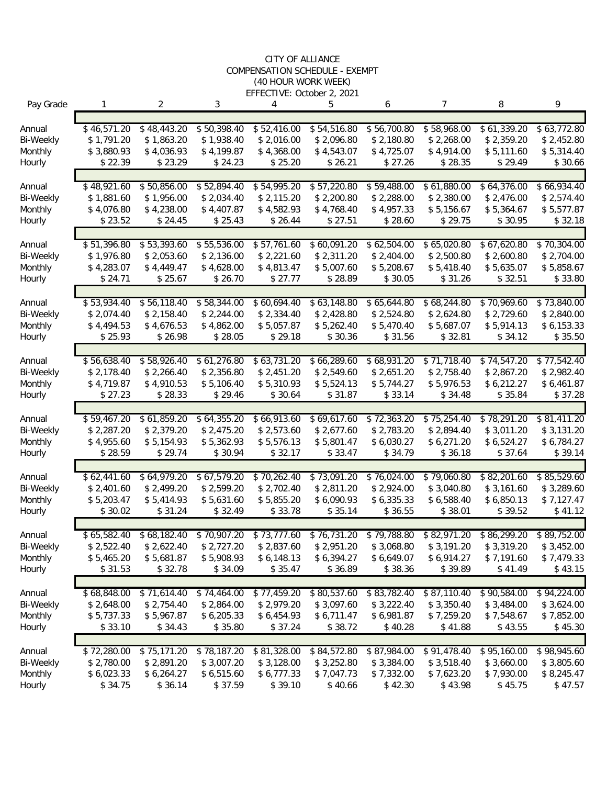#### CITY OF ALLIANCE COMPENSATION SCHEDULE - EXEMPT (40 HOUR WORK WEEK) EFFECTIVE: October 2, 2021

| Pay Grade         | 1                     | 2                        | 3                        | 4                        | 5                        | 6                        | 7                         | 8                        | 9                        |
|-------------------|-----------------------|--------------------------|--------------------------|--------------------------|--------------------------|--------------------------|---------------------------|--------------------------|--------------------------|
|                   | \$46,571.20           |                          |                          | \$52,416.00              | \$54,516.80              |                          |                           |                          |                          |
| Annual            |                       | \$48,443.20              | \$50,398.40              |                          |                          | \$56,700.80              | \$58,968.00<br>\$2,268.00 | \$61,339.20              | \$63,772.80              |
| <b>Bi-Weekly</b>  | \$1,791.20            | \$1,863.20<br>\$4,036.93 | \$1,938.40<br>\$4,199.87 | \$2,016.00<br>\$4,368.00 | \$2,096.80<br>\$4,543.07 | \$2,180.80<br>\$4,725.07 | \$4,914.00                | \$2,359.20<br>\$5,111.60 | \$2,452.80<br>\$5,314.40 |
| Monthly<br>Hourly | \$3,880.93<br>\$22.39 | \$23.29                  | \$24.23                  | \$25.20                  | \$26.21                  | \$27.26                  | \$28.35                   | \$29.49                  | \$30.66                  |
|                   |                       |                          |                          |                          |                          |                          |                           |                          |                          |
| Annual            | \$48,921.60           | \$50,856.00              | \$52,894.40              | \$54,995.20              | \$57,220.80              | \$59,488.00              | \$61,880.00               | \$64,376.00              | \$66,934.40              |
| <b>Bi-Weekly</b>  | \$1,881.60            | \$1,956.00               | \$2,034.40               | \$2,115.20               | \$2,200.80               | \$2,288.00               | \$2,380.00                | \$2,476.00               | \$2,574.40               |
| Monthly           | \$4,076.80            | \$4,238.00               | \$4,407.87               | \$4,582.93               | \$4,768.40               | \$4,957.33               | \$5,156.67                | \$5,364.67               | \$5,577.87               |
| Hourly            | \$23.52               | \$24.45                  | \$25.43                  | \$26.44                  | \$27.51                  | \$28.60                  | \$29.75                   | \$30.95                  | \$32.18                  |
|                   |                       |                          |                          |                          |                          |                          |                           |                          |                          |
| Annual            | \$51,396.80           | \$53,393.60              | \$55,536.00              | \$57,761.60              | \$60,091.20              | \$62,504.00              | \$65,020.80               | \$67,620.80              | \$70,304.00              |
| <b>Bi-Weekly</b>  | \$1,976.80            | \$2,053.60               | \$2,136.00               | \$2,221.60               | \$2,311.20               | \$2,404.00               | \$2,500.80                | \$2,600.80               | \$2,704.00               |
| Monthly           | \$4,283.07            | \$4,449.47               | \$4,628.00               | \$4,813.47               | \$5,007.60               | \$5,208.67               | \$5,418.40                | \$5,635.07               | \$5,858.67               |
| Hourly            | \$24.71               | \$25.67                  | \$26.70                  | \$27.77                  | \$28.89                  | \$30.05                  | \$31.26                   | \$32.51                  | \$33.80                  |
|                   |                       |                          |                          |                          |                          |                          |                           |                          |                          |
| Annual            | \$53,934.40           | \$56,118.40              | \$58,344.00              | \$60,694.40              | \$63,148.80              | \$65,644.80              | \$68,244.80               | \$70,969.60              | \$73,840.00              |
| <b>Bi-Weekly</b>  | \$2,074.40            | \$2,158.40               | \$2,244.00               | \$2,334.40               | \$2,428.80               | \$2,524.80               | \$2,624.80                | \$2,729.60               | \$2,840.00               |
| Monthly           | \$4,494.53            | \$4,676.53               | \$4,862.00               | \$5,057.87               | \$5,262.40               | \$5,470.40               | \$5,687.07                | \$5,914.13               | \$6,153.33               |
| Hourly            | \$25.93               | \$26.98                  | \$28.05                  | \$29.18                  | \$30.36                  | \$31.56                  | \$32.81                   | \$34.12                  | \$35.50                  |
|                   |                       |                          |                          |                          |                          |                          |                           |                          |                          |
| Annual            | \$56,638.40           | \$58,926.40              | \$61,276.80              | \$63,731.20              | \$66,289.60              | \$68,931.20              | \$71,718.40               | \$74,547.20              | \$77,542.40              |
| <b>Bi-Weekly</b>  | \$2,178.40            | \$2,266.40               | \$2,356.80               | \$2,451.20               | \$2,549.60               | \$2,651.20               | \$2,758.40                | \$2,867.20               | \$2,982.40               |
| Monthly           | \$4,719.87<br>\$27.23 | \$4,910.53<br>\$28.33    | \$5,106.40<br>\$29.46    | \$5,310.93<br>\$30.64    | \$5,524.13<br>\$31.87    | \$5,744.27<br>\$33.14    | \$5,976.53<br>\$34.48     | \$6,212.27<br>\$35.84    | \$6,461.87<br>\$37.28    |
| Hourly            |                       |                          |                          |                          |                          |                          |                           |                          |                          |
| Annual            | \$59,467.20           | \$61,859.20              | \$64,355.20              | \$66,913.60              | \$69,617.60              | \$72,363.20              | \$75,254.40               | \$78,291.20              | \$81,411.20              |
| <b>Bi-Weekly</b>  | \$2,287.20            | \$2,379.20               | \$2,475.20               | \$2,573.60               | \$2,677.60               | \$2,783.20               | \$2,894.40                | \$3,011.20               | \$3,131.20               |
| Monthly           | \$4,955.60            | \$5,154.93               | \$5,362.93               | \$5,576.13               | \$5,801.47               | \$6,030.27               | \$6,271.20                | \$6,524.27               | \$6,784.27               |
| Hourly            | \$28.59               | \$29.74                  | \$30.94                  | \$32.17                  | \$33.47                  | \$34.79                  | \$36.18                   | \$37.64                  | \$39.14                  |
|                   |                       |                          |                          |                          |                          |                          |                           |                          |                          |
| Annual            | \$62,441.60           | \$64,979.20              | \$67,579.20              | \$70,262.40              | \$73,091.20              | \$76,024.00              | \$79,060.80               | \$82,201.60              | \$85,529.60              |
| <b>Bi-Weekly</b>  | \$2,401.60            | \$2,499.20               | \$2,599.20               | \$2,702.40               | \$2,811.20               | \$2,924.00               | \$3,040.80                | \$3,161.60               | \$3,289.60               |
| Monthly           | \$5,203.47            | \$5,414.93               | \$5,631.60               | \$5,855.20               | \$6,090.93               | \$6,335.33               | \$6,588.40                | \$6,850.13               | \$7,127.47               |
| Hourly            | \$30.02               | \$31.24                  | \$32.49                  | \$33.78                  | \$35.14                  | \$36.55                  | \$38.01                   | \$39.52                  | \$41.12                  |
|                   |                       |                          |                          |                          |                          |                          |                           |                          |                          |
| Annual            | \$65,582.40           | \$68,182.40              | \$70,907.20              | \$73,777.60              | \$76,731.20              | \$79,788.80              | \$82,971.20               | \$86,299.20              | \$89,752.00              |
| <b>Bi-Weekly</b>  | \$2,522.40            | \$2,622.40               | \$2,727.20               | \$2,837.60               | \$2,951.20               | \$3,068.80               | \$3,191.20                | \$3,319.20               | \$3,452.00               |
| Monthly           | \$5,465.20            | \$5,681.87               | \$5,908.93               | \$6,148.13               | \$6,394.27               | \$6,649.07               | \$6,914.27                | \$7,191.60               | \$7,479.33               |
| Hourly            | \$31.53               | \$32.78                  | \$34.09                  | \$35.47                  | \$36.89                  | \$38.36                  | \$39.89                   | \$41.49                  | \$43.15                  |
|                   |                       |                          |                          |                          |                          |                          |                           |                          |                          |
| Annual            | \$68,848.00           | \$71,614.40              | \$74,464.00              | \$77,459.20              | \$80,537.60              | \$83,782.40              | \$87,110.40               | \$90,584.00              | \$94,224.00              |
| <b>Bi-Weekly</b>  | \$2,648.00            | \$2,754.40               | \$2,864.00               | \$2,979.20               | \$3,097.60               | \$3,222.40               | \$3,350.40                | \$3,484.00               | \$3,624.00               |
| Monthly           | \$5,737.33            | \$5,967.87               | \$6,205.33               | \$6,454.93               | \$6,711.47               | \$6,981.87               | \$7,259.20                | \$7,548.67               | \$7,852.00               |
| Hourly            | \$33.10               | \$34.43                  | \$35.80                  | \$37.24                  | \$38.72                  | \$40.28                  | \$41.88                   | \$43.55                  | \$45.30                  |
|                   |                       |                          |                          |                          |                          |                          |                           |                          |                          |
| Annual            | \$72,280.00           | \$75,171.20              | \$78,187.20              | \$81,328.00              | \$84,572.80              | \$87,984.00              | \$91,478.40               | \$95,160.00              | \$98,945.60              |
| <b>Bi-Weekly</b>  | \$2,780.00            | \$2,891.20               | \$3,007.20               | \$3,128.00               | \$3,252.80               | \$3,384.00               | \$3,518.40                | \$3,660.00               | \$3,805.60               |
| Monthly           | \$6,023.33            | \$6,264.27               | \$6,515.60               | \$6,777.33               | \$7,047.73               | \$7,332.00               | \$7,623.20                | \$7,930.00               | \$8,245.47               |
| Hourly            | \$34.75               | \$36.14                  | \$37.59                  | \$39.10                  | \$40.66                  | \$42.30                  | \$43.98                   | \$45.75                  | \$47.57                  |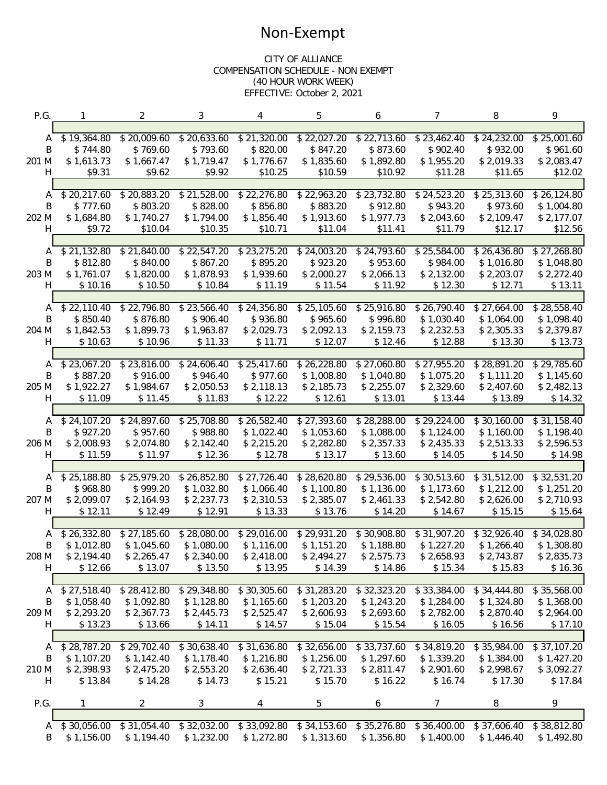### Non-Exempt

#### CITY OF ALLIANCE COMPENSATION SCHEDULE - NON EXEMPT (40 HOUR WORK WEEK) EFFECTIVE: October 2, 2021

| P.G.   |             | $\overline{2}$ | 3           | 4           | 5           | 6                       | $\overline{7}$ | 8           | 9           |
|--------|-------------|----------------|-------------|-------------|-------------|-------------------------|----------------|-------------|-------------|
|        |             |                |             |             |             |                         |                |             |             |
| A      | \$19,364.80 | \$20,009.60    | \$20,633.60 | \$21,320.00 | \$22,027.20 | \$22,713.60             | \$23,462.40    | \$24,232.00 | \$25,001.60 |
| B      | \$744.80    | \$769.60       | \$793.60    | \$820.00    | \$847.20    | \$873.60                | \$902.40       | \$932.00    | \$961.60    |
| 201 M  | \$1,613.73  | \$1,667.47     | \$1,719.47  | \$1,776.67  | \$1,835.60  | \$1,892.80              | \$1,955.20     | \$2,019.33  | \$2,083.47  |
| H.     | \$9.31      | \$9.62         | \$9.92      | \$10.25     | \$10.59     | \$10.92                 | \$11.28        | \$11.65     | \$12.02     |
|        |             |                |             |             |             |                         |                |             |             |
| A      | \$20,217.60 | \$20,883.20    | \$21,528.00 | \$22,276.80 | \$22,963.20 | \$23,732.80             | \$24,523.20    | \$25,313.60 | \$26,124.80 |
| B      | \$777.60    | \$803.20       | \$828.00    | \$856.80    | \$883.20    | \$912.80                | \$943.20       | \$973.60    | \$1,004.80  |
| 202 M  | \$1,684.80  | \$1,740.27     | \$1,794.00  | \$1,856.40  | \$1,913.60  | \$1,977.73              | \$2,043.60     | \$2,109.47  | \$2,177.07  |
| H      | \$9.72      | \$10.04        | \$10.35     | \$10.71     | \$11.04     | \$11.41                 | \$11.79        | \$12.17     | \$12.56     |
|        |             |                |             |             |             |                         |                |             |             |
| A      | \$21,132.80 | \$21,840.00    | \$22,547.20 | \$23,275.20 | \$24,003.20 | \$24,793.60             | \$25,584.00    | \$26,436.80 | \$27,268.80 |
| B      | \$812.80    | \$840.00       | \$867.20    | \$895.20    | \$923.20    | \$953.60                | \$984.00       | \$1,016.80  | \$1,048.80  |
| 203 M  | \$1,761.07  | \$1,820.00     | \$1,878.93  | \$1,939.60  | \$2,000.27  | \$2,066.13              | \$2,132.00     | \$2,203.07  | \$2,272.40  |
| H      | \$10.16     | \$10.50        | \$10.84     | \$11.19     | \$11.54     | \$11.92                 | \$12.30        | \$12.71     | \$13.11     |
|        |             |                |             |             |             |                         |                |             |             |
| A      | \$22,110.40 | \$22,796.80    | \$23,566.40 | \$24,356.80 | \$25,105.60 | \$25,916.80             | \$26,790.40    | \$27,664.00 | \$28,558.40 |
| B      | \$850.40    | \$876.80       | \$906.40    | \$936.80    | \$965.60    | \$996.80                | \$1,030.40     | \$1,064.00  | \$1,098.40  |
| 204 M  | \$1,842.53  | \$1,899.73     | \$1,963.87  | \$2,029.73  | \$2,092.13  | \$2,159.73              | \$2,232.53     | \$2,305.33  | \$2,379.87  |
| H      | \$10.63     | \$10.96        | \$11.33     | \$11.71     | \$12.07     | \$12.46                 | \$12.88        | \$13.30     | \$13.73     |
|        |             |                |             |             |             |                         |                |             |             |
| A      | \$23,067.20 | \$23,816.00    | \$24,606.40 | \$25,417.60 | \$26,228.80 | \$27,060.80             | \$27,955.20    | \$28,891.20 | \$29,785.60 |
| B      | \$887.20    | \$916.00       | \$946.40    | \$977.60    | \$1,008.80  | \$1,040.80              | \$1,075.20     | \$1,111.20  | \$1,145.60  |
| 205 M  | \$1,922.27  | \$1,984.67     | \$2,050.53  | \$2,118.13  | \$2,185.73  | \$2,255.07              | \$2,329.60     | \$2,407.60  | \$2,482.13  |
| H      | \$11.09     | \$11.45        | \$11.83     | \$12.22     | \$12.61     | \$13.01                 | \$13.44        | \$13.89     | \$14.32     |
|        |             |                |             |             |             |                         |                |             |             |
| A      | \$24,107.20 | \$24,897.60    | \$25,708.80 | \$26,582.40 | \$27,393.60 | \$28,288.00             | \$29,224.00    | \$30,160.00 | \$31,158.40 |
| B      | \$927.20    | \$957.60       | \$988.80    | \$1,022.40  | \$1,053.60  | \$1,088.00              | \$1,124.00     | \$1,160.00  | \$1,198.40  |
| 206 M  | \$2,008.93  | \$2,074.80     | \$2,142.40  | \$2,215.20  | \$2,282.80  | \$2,357.33              | \$2,435.33     | \$2,513.33  | \$2,596.53  |
| H      | \$11.59     | \$11.97        | \$12.36     | \$12.78     | \$13.17     | \$13.60                 | \$14.05        | \$14.50     | \$14.98     |
|        |             |                |             |             |             |                         |                |             |             |
| A      | \$25,188.80 | \$25,979.20    | \$26,852.80 | \$27,726.40 | \$28,620.80 | \$29,536.00             | \$30,513.60    | \$31,512.00 | \$32,531.20 |
| B      | \$968.80    | \$999.20       | \$1,032.80  | \$1,066.40  | \$1,100.80  | \$1,136.00              | \$1,173.60     | \$1,212.00  | \$1,251.20  |
| 207 M  | \$2,099.07  | \$2,164.93     | \$2,237.73  | \$2,310.53  | \$2,385.07  | \$2,461.33              | \$2,542.80     | \$2,626.00  | \$2,710.93  |
| H      | \$12.11     | \$12.49        | \$12.91     | \$13.33     | \$13.76     | \$14.20                 | \$14.67        | \$15.15     | \$15.64     |
|        |             |                |             |             |             |                         |                |             |             |
| A      | \$26,332.80 | \$27,185.60    | \$28,080.00 | \$29,016.00 | \$29,931.20 | \$30,908.80             | \$31,907.20    | \$32,926.40 | \$34,028.80 |
| Β      | \$1,012.80  | \$1,045.60     | \$1,080.00  | \$1,116.00  | \$1,151.20  | \$1,188.80              | \$1,227.20     | \$1,266.40  | \$1,308.80  |
| 208 M  | \$2,194.40  | \$2,265.47     | \$2,340.00  | \$2,418.00  | \$2,494.27  | \$2,575.73              | \$2,658.93     | \$2,743.87  | \$2,835.73  |
| H      | \$12.66     | \$13.07        | \$13.50     | \$13.95     | \$14.39     | \$14.86                 | \$15.34        | \$15.83     | \$16.36     |
|        |             |                |             |             |             |                         |                |             |             |
|        | \$27,518.40 | \$28,412.80    | \$29,348.80 | \$30,305.60 | \$31,283.20 | \$32,323.20             | \$33,384.00    | \$34,444.80 | \$35,568.00 |
| A<br>B | \$1,058.40  | \$1,092.80     | \$1,128.80  | \$1,165.60  | \$1,203.20  | \$1,243.20              | \$1,284.00     | \$1,324.80  | \$1,368.00  |
| 209 M  | \$2,293.20  | \$2,367.73     | \$2,445.73  | \$2,525.47  | \$2,606.93  | \$2,693.60              | \$2,782.00     | \$2,870.40  | \$2,964.00  |
|        |             |                |             |             | \$15.04     | \$15.54                 |                | \$16.56     |             |
| H      | \$13.23     | \$13.66        | \$14.11     | \$14.57     |             |                         | \$16.05        |             | \$17.10     |
|        | \$28,787.20 | \$29,702.40    | \$30,638.40 | \$31,636.80 | \$32,656.00 | $\overline{$}33,737.60$ | \$34,819.20    | \$35,984.00 | \$37,107.20 |
| A<br>Β | \$1,107.20  | \$1,142.40     | \$1,178.40  | \$1,216.80  | \$1,256.00  | \$1,297.60              | \$1,339.20     | \$1,384.00  | \$1,427.20  |
|        |             |                |             |             |             |                         |                |             |             |
| 210 M  | \$2,398.93  | \$2,475.20     | \$2,553.20  | \$2,636.40  | \$2,721.33  | \$2,811.47              | \$2,901.60     | \$2,998.67  | \$3,092.27  |
| H      | \$13.84     | \$14.28        | \$14.73     | \$15.21     | \$15.70     | \$16.22                 | \$16.74        | \$17.30     | \$17.84     |
|        |             | $\overline{2}$ |             |             |             |                         | 7              |             | 9           |
| P.G.   |             |                | 3           | 4           | 5           | 6                       |                | 8           |             |
| A      | \$30,056.00 | \$31,054.40    | \$32,032.00 | \$33,092.80 | \$34,153.60 | \$35,276.80             | \$36,400.00    | \$37,606.40 | \$38,812.80 |
| B      | \$1,156.00  | \$1,194.40     | \$1,232.00  | \$1,272.80  | \$1,313.60  | \$1,356.80              | \$1,400.00     | \$1,446.40  | \$1,492.80  |
|        |             |                |             |             |             |                         |                |             |             |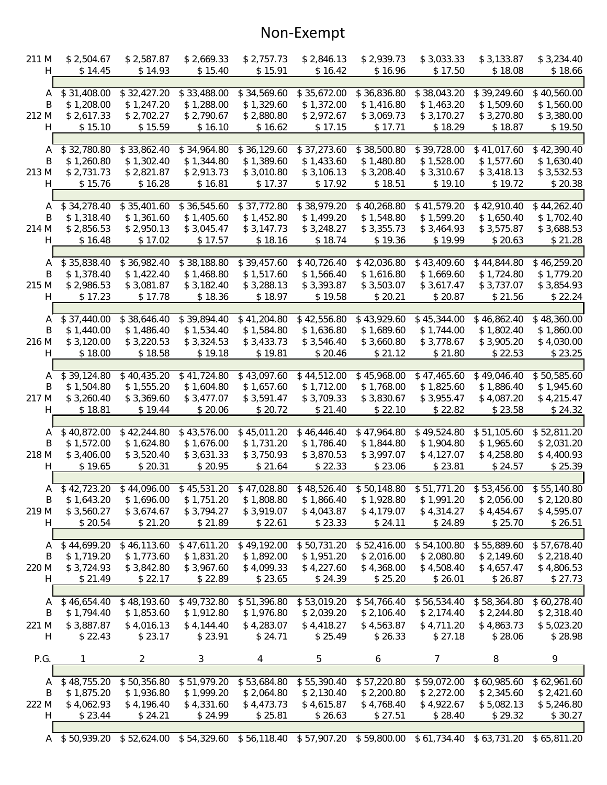## Non-Exempt

| 211 M      | \$2,504.67                                                                                                    | \$2,587.87               | \$2,669.33     | \$2,757.73                | \$2,846.13  | \$2,939.73               | \$3,033.33  | \$3,133.87               | \$3,234.40               |
|------------|---------------------------------------------------------------------------------------------------------------|--------------------------|----------------|---------------------------|-------------|--------------------------|-------------|--------------------------|--------------------------|
| H          | \$14.45                                                                                                       | \$14.93                  | \$15.40        | \$15.91                   | \$16.42     | \$16.96                  | \$17.50     | \$18.08                  | \$18.66                  |
|            |                                                                                                               |                          |                |                           |             |                          |             |                          |                          |
| A          | \$31,408.00                                                                                                   | \$32,427.20              | \$33,488.00    | \$34,569.60               | \$35,672.00 | \$36,836.80              | \$38,043.20 | \$39,249.60              | \$40,560.00              |
| B          | \$1,208.00                                                                                                    | \$1,247.20               | \$1,288.00     | \$1,329.60                | \$1,372.00  | \$1,416.80               | \$1,463.20  | \$1,509.60               | \$1,560.00               |
| 212 M      | \$2,617.33                                                                                                    | \$2,702.27               | \$2,790.67     | \$2,880.80                | \$2,972.67  | \$3,069.73               | \$3,170.27  | \$3,270.80               | \$3,380.00               |
| H          | \$15.10                                                                                                       | \$15.59                  | \$16.10        | \$16.62                   | \$17.15     | \$17.71                  | \$18.29     | \$18.87                  | \$19.50                  |
|            |                                                                                                               | \$33,862.40              |                |                           |             |                          |             |                          |                          |
| A          | \$32,780.80                                                                                                   |                          | \$34,964.80    | \$36,129.60               | \$37,273.60 | \$38,500.80              | \$39,728.00 | \$41,017.60              | \$42,390.40              |
| B          | \$1,260.80<br>\$2,731.73                                                                                      | \$1,302.40<br>\$2,821.87 | \$1,344.80     | \$1,389.60                | \$1,433.60  | \$1,480.80<br>\$3,208.40 | \$1,528.00  | \$1,577.60<br>\$3,418.13 | \$1,630.40<br>\$3,532.53 |
| 213 M      |                                                                                                               |                          | \$2,913.73     | \$3,010.80                | \$3,106.13  |                          | \$3,310.67  |                          |                          |
| H.         | \$15.76                                                                                                       | \$16.28                  | \$16.81        | \$17.37                   | \$17.92     | \$18.51                  | \$19.10     | \$19.72                  | \$20.38                  |
| A          | \$34,278.40                                                                                                   | \$35,401.60              | \$36,545.60    | \$37,772.80               | \$38,979.20 | \$40,268.80              | \$41,579.20 | \$42,910.40              | \$44,262.40              |
| B          | \$1,318.40                                                                                                    | \$1,361.60               | \$1,405.60     | \$1,452.80                | \$1,499.20  | \$1,548.80               | \$1,599.20  | \$1,650.40               | \$1,702.40               |
|            | \$2,856.53                                                                                                    | \$2,950.13               | \$3,045.47     | \$3,147.73                | \$3,248.27  | \$3,355.73               | \$3,464.93  | \$3,575.87               | \$3,688.53               |
| 214 M<br>H |                                                                                                               | \$17.02                  |                |                           |             | \$19.36                  | \$19.99     |                          |                          |
|            | \$16.48                                                                                                       |                          | \$17.57        | \$18.16                   | \$18.74     |                          |             | \$20.63                  | \$21.28                  |
| A          | \$35,838.40                                                                                                   | $\overline{$}36,982.40$  | \$38,188.80    | \$39,457.60               | \$40,726.40 | \$42,036.80              | \$43,409.60 | \$44,844.80              | \$46,259.20              |
| B          | \$1,378.40                                                                                                    | \$1,422.40               | \$1,468.80     | \$1,517.60                | \$1,566.40  | \$1,616.80               | \$1,669.60  | \$1,724.80               | \$1,779.20               |
| 215 M      | \$2,986.53                                                                                                    | \$3,081.87               | \$3,182.40     | \$3,288.13                | \$3,393.87  | \$3,503.07               | \$3,617.47  | \$3,737.07               | \$3,854.93               |
| H          | \$17.23                                                                                                       | \$17.78                  | \$18.36        | \$18.97                   | \$19.58     | \$20.21                  | \$20.87     | \$21.56                  | \$22.24                  |
|            |                                                                                                               |                          |                |                           |             |                          |             |                          |                          |
| A          | \$37,440.00                                                                                                   | \$38,646.40              | \$39,894.40    | \$41,204.80               | \$42,556.80 | \$43,929.60              | \$45,344.00 | \$46,862.40              | \$48,360.00              |
| B          | \$1,440.00                                                                                                    | \$1,486.40               | \$1,534.40     | \$1,584.80                | \$1,636.80  | \$1,689.60               | \$1,744.00  | \$1,802.40               | \$1,860.00               |
| 216 M      | \$3,120.00                                                                                                    | \$3,220.53               | \$3,324.53     | \$3,433.73                | \$3,546.40  | \$3,660.80               | \$3,778.67  | \$3,905.20               | \$4,030.00               |
| н          | \$18.00                                                                                                       | \$18.58                  | \$19.18        | \$19.81                   | \$20.46     | \$21.12                  | \$21.80     | \$22.53                  | \$23.25                  |
|            |                                                                                                               |                          |                |                           |             |                          |             |                          |                          |
| Α          | \$39,124.80                                                                                                   | \$40,435.20              | \$41,724.80    | \$43,097.60               | \$44,512.00 | \$45,968.00              | \$47,465.60 | \$49,046.40              | \$50,585.60              |
| B          | \$1,504.80                                                                                                    | \$1,555.20               | \$1,604.80     | \$1,657.60                | \$1,712.00  | \$1,768.00               | \$1,825.60  | \$1,886.40               | \$1,945.60               |
| 217 M      | \$3,260.40                                                                                                    | \$3,369.60               | \$3,477.07     | \$3,591.47                | \$3,709.33  | \$3,830.67               | \$3,955.47  | \$4,087.20               | \$4,215.47               |
| H          | \$18.81                                                                                                       | \$19.44                  | \$20.06        | \$20.72                   | \$21.40     | \$22.10                  | \$22.82     | \$23.58                  | \$24.32                  |
|            |                                                                                                               |                          |                |                           |             |                          |             |                          |                          |
| Α          | \$40,872.00                                                                                                   | \$42,244.80              | \$43,576.00    | \$45,011.20               | \$46,446.40 | \$47,964.80              | \$49,524.80 | \$51,105.60              | \$52,811.20              |
| B          | \$1,572.00                                                                                                    | \$1,624.80               | \$1,676.00     | \$1,731.20                | \$1,786.40  | \$1,844.80               | \$1,904.80  | \$1,965.60               | \$2,031.20               |
| 218 M      | \$3,406.00                                                                                                    | \$3,520.40               | \$3,631.33     | \$3,750.93                | \$3,870.53  | \$3,997.07               | \$4,127.07  | \$4,258.80               | \$4,400.93               |
| H          | \$19.65                                                                                                       | \$20.31                  | \$20.95        | \$21.64                   | \$22.33     | \$23.06                  | \$23.81     | \$24.57                  | \$25.39                  |
|            |                                                                                                               |                          |                |                           |             |                          |             |                          |                          |
| A          | \$42,723.20                                                                                                   | \$44,096.00              |                | $$45,531.20$ $$47,028.80$ | \$48,526.40 | \$50,148.80              | \$51,771.20 | \$53,456.00              | \$55,140.80              |
| Β          | \$1,643.20                                                                                                    | \$1,696.00               | \$1,751.20     | \$1,808.80                | \$1,866.40  | \$1,928.80               | \$1,991.20  | \$2,056.00               | \$2,120.80               |
| 219 M      | \$3,560.27                                                                                                    | \$3,674.67               | \$3,794.27     | \$3,919.07                | \$4,043.87  | \$4,179.07               | \$4,314.27  | \$4,454.67               | \$4,595.07               |
| H          | \$20.54                                                                                                       | \$21.20                  | \$21.89        | \$22.61                   | \$23.33     | \$24.11                  | \$24.89     | \$25.70                  | \$26.51                  |
|            |                                                                                                               |                          |                |                           |             |                          |             |                          |                          |
| A          | \$44,699.20                                                                                                   | \$46,113.60              | \$47,611.20    | \$49,192.00               | \$50,731.20 | \$52,416.00              | \$54,100.80 | \$55,889.60              | \$57,678.40              |
| B          | \$1,719.20                                                                                                    | \$1,773.60               | \$1,831.20     | \$1,892.00                | \$1,951.20  | \$2,016.00               | \$2,080.80  | \$2,149.60               | \$2,218.40               |
| 220 M      | \$3,724.93                                                                                                    | \$3,842.80               | \$3,967.60     | \$4,099.33                | \$4,227.60  | \$4,368.00               | \$4,508.40  | \$4,657.47               | \$4,806.53               |
| H          | \$21.49                                                                                                       | \$22.17                  | \$22.89        | \$23.65                   | \$24.39     | \$25.20                  | \$26.01     | \$26.87                  | \$27.73                  |
|            |                                                                                                               |                          |                |                           |             |                          |             |                          |                          |
| A          | \$46,654.40                                                                                                   | \$48,193.60              | \$49,732.80    | \$51,396.80               | \$53,019.20 | \$54,766.40              | \$56,534.40 | \$58,364.80              | \$60,278.40              |
| B          | \$1,794.40                                                                                                    | \$1,853.60               | \$1,912.80     | \$1,976.80                | \$2,039.20  | \$2,106.40               | \$2,174.40  | \$2,244.80               | \$2,318.40               |
| 221 M      | \$3,887.87                                                                                                    | \$4,016.13               | \$4,144.40     | \$4,283.07                | \$4,418.27  | \$4,563.87               | \$4,711.20  | \$4,863.73               | \$5,023.20               |
| H          | \$22.43                                                                                                       | \$23.17                  | \$23.91        | \$24.71                   | \$25.49     | \$26.33                  | \$27.18     | \$28.06                  | \$28.98                  |
|            |                                                                                                               |                          |                |                           |             |                          |             |                          |                          |
| P.G.       |                                                                                                               | $\overline{2}$           | $\mathfrak{Z}$ | 4                         | 5           | 6                        | 7           | 8                        | 9                        |
| A          | \$48,755.20                                                                                                   | \$50,356.80              | \$51,979.20    | \$53,684.80               | \$55,390.40 | \$57,220.80              | \$59,072.00 | \$60,985.60              | \$62,961.60              |
| B          | \$1,875.20                                                                                                    | \$1,936.80               | \$1,999.20     | \$2,064.80                | \$2,130.40  | \$2,200.80               | \$2,272.00  | \$2,345.60               | \$2,421.60               |
| 222 M      | \$4,062.93                                                                                                    | \$4,196.40               | \$4,331.60     | \$4,473.73                | \$4,615.87  | \$4,768.40               | \$4,922.67  | \$5,082.13               | \$5,246.80               |
| H          | \$23.44                                                                                                       | \$24.21                  | \$24.99        | \$25.81                   | \$26.63     | \$27.51                  | \$28.40     | \$29.32                  | \$30.27                  |
|            |                                                                                                               |                          |                |                           |             |                          |             |                          |                          |
|            | A \$50,939.20 \$52,624.00 \$54,329.60 \$56,118.40 \$57,907.20 \$59,800.00 \$61,734.40 \$63,731.20 \$65,811.20 |                          |                |                           |             |                          |             |                          |                          |
|            |                                                                                                               |                          |                |                           |             |                          |             |                          |                          |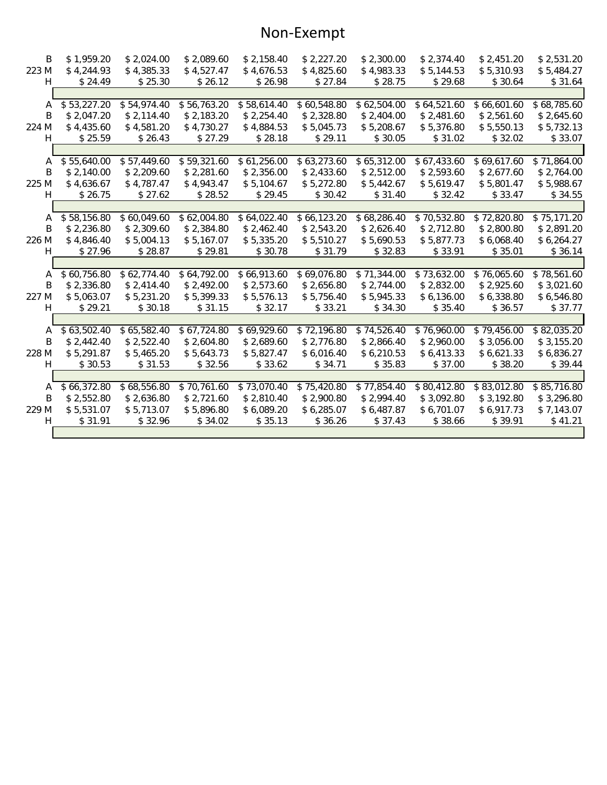### Non-Exempt

| B     | \$1,959.20  | \$2,024.00              | \$2,089.60              | \$2,158.40  | \$2,227.20  | \$2,300.00              | \$2,374.40              | \$2,451.20  | \$2,531.20  |
|-------|-------------|-------------------------|-------------------------|-------------|-------------|-------------------------|-------------------------|-------------|-------------|
| 223 M | \$4,244.93  | \$4,385.33              | \$4,527.47              | \$4,676.53  | \$4,825.60  | \$4,983.33              | \$5,144.53              | \$5,310.93  | \$5,484.27  |
| H.    | \$24.49     | \$25.30                 | \$26.12                 | \$26.98     | \$27.84     | \$28.75                 | \$29.68                 | \$30.64     | \$31.64     |
|       |             |                         |                         |             |             |                         |                         |             |             |
| A     | \$53,227.20 | \$54,974.40             | \$56,763.20             | \$58,614.40 | \$60,548.80 | $\overline{$62,504.00}$ | $\overline{$64,521.60}$ | \$66,601.60 | \$68,785.60 |
| Β     | \$2,047.20  | \$2,114.40              | \$2,183.20              | \$2,254.40  | \$2,328.80  | \$2,404.00              | \$2,481.60              | \$2,561.60  | \$2,645.60  |
| 224 M | \$4,435.60  | \$4,581.20              | \$4,730.27              | \$4,884.53  | \$5,045.73  | \$5,208.67              | \$5,376.80              | \$5,550.13  | \$5,732.13  |
| H.    | \$25.59     | \$26.43                 | \$27.29                 | \$28.18     | \$29.11     | \$30.05                 | \$31.02                 | \$32.02     | \$33.07     |
|       |             |                         |                         |             |             |                         |                         |             |             |
| A     | \$55,640.00 | \$57,449.60             | \$59,321.60             | \$61,256.00 | \$63,273.60 | \$65,312.00             | \$67,433.60             | \$69,617.60 | \$71,864.00 |
| B     | \$2,140.00  | \$2,209.60              | \$2,281.60              | \$2,356.00  | \$2,433.60  | \$2,512.00              | \$2,593.60              | \$2,677.60  | \$2,764.00  |
| 225 M | \$4,636.67  | \$4,787.47              | \$4,943.47              | \$5,104.67  | \$5,272.80  | \$5,442.67              | \$5,619.47              | \$5,801.47  | \$5,988.67  |
| H.    | \$26.75     | \$27.62                 | \$28.52                 | \$29.45     | \$30.42     | \$31.40                 | \$32.42                 | \$33.47     | \$34.55     |
|       |             |                         |                         |             |             |                         |                         |             |             |
| A     | \$58,156.80 | \$60,049.60             | $\overline{$62,004.80}$ | \$64,022.40 | \$66,123.20 | \$68,286.40             | \$70,532.80             | \$72,820.80 | \$75,171.20 |
| B.    | \$2,236.80  | \$2,309.60              | \$2,384.80              | \$2,462.40  | \$2,543.20  | \$2,626.40              | \$2,712.80              | \$2,800.80  | \$2,891.20  |
| 226 M | \$4,846.40  | \$5,004.13              | \$5,167.07              | \$5,335.20  | \$5,510.27  | \$5,690.53              | \$5,877.73              | \$6,068.40  | \$6,264.27  |
| H     | \$27.96     | \$28.87                 | \$29.81                 | \$30.78     | \$31.79     | \$32.83                 | \$33.91                 | \$35.01     | \$36.14     |
|       |             |                         |                         |             |             |                         |                         |             |             |
| A     | \$60,756.80 | $\overline{$62,774.40}$ | \$64,792.00             | \$66,913.60 | \$69,076.80 | \$71,344.00             | \$73,632.00             | \$76,065.60 | \$78,561.60 |
| B     | \$2,336.80  | \$2,414.40              | \$2,492.00              | \$2,573.60  | \$2,656.80  | \$2,744.00              | \$2,832.00              | \$2,925.60  | \$3,021.60  |
| 227 M | \$5,063.07  | \$5,231.20              | \$5,399.33              | \$5,576.13  | \$5,756.40  | \$5,945.33              | \$6,136.00              | \$6,338.80  | \$6,546.80  |
| H.    | \$29.21     | \$30.18                 | \$31.15                 | \$32.17     | \$33.21     | \$34.30                 | \$35.40                 | \$36.57     | \$37.77     |
|       |             |                         |                         |             |             |                         |                         |             |             |
| A     | \$63,502.40 | \$65,582.40             | \$67,724.80             | \$69,929.60 | \$72,196.80 | \$74,526.40             | \$76,960.00             | \$79,456.00 | \$82,035.20 |
| B.    | \$2,442.40  | \$2,522.40              | \$2,604.80              | \$2,689.60  | \$2,776.80  | \$2,866.40              | \$2,960.00              | \$3,056.00  | \$3,155.20  |
| 228 M | \$5,291.87  | \$5,465.20              | \$5,643.73              | \$5,827.47  | \$6,016.40  | \$6,210.53              | \$6,413.33              | \$6,621.33  | \$6,836.27  |
| H.    | \$30.53     | \$31.53                 | \$32.56                 | \$33.62     | \$34.71     | \$35.83                 | \$37.00                 | \$38.20     | \$39.44     |
|       |             |                         |                         |             |             |                         |                         |             |             |
| A     | \$66,372.80 | \$68,556.80             | \$70,761.60             | \$73,070.40 | \$75,420.80 | \$77,854.40             | \$80,412.80             | \$83,012.80 | \$85,716.80 |
| B     | \$2,552.80  | \$2,636.80              | \$2,721.60              | \$2,810.40  | \$2,900.80  | \$2,994.40              | \$3,092.80              | \$3,192.80  | \$3,296.80  |
| 229 M | \$5,531.07  | \$5,713.07              | \$5,896.80              | \$6,089.20  | \$6,285.07  | \$6,487.87              | \$6,701.07              | \$6,917.73  | \$7,143.07  |
| H.    | \$31.91     | \$32.96                 | \$34.02                 | \$35.13     | \$36.26     | \$37.43                 | \$38.66                 | \$39.91     | \$41.21     |
|       |             |                         |                         |             |             |                         |                         |             |             |